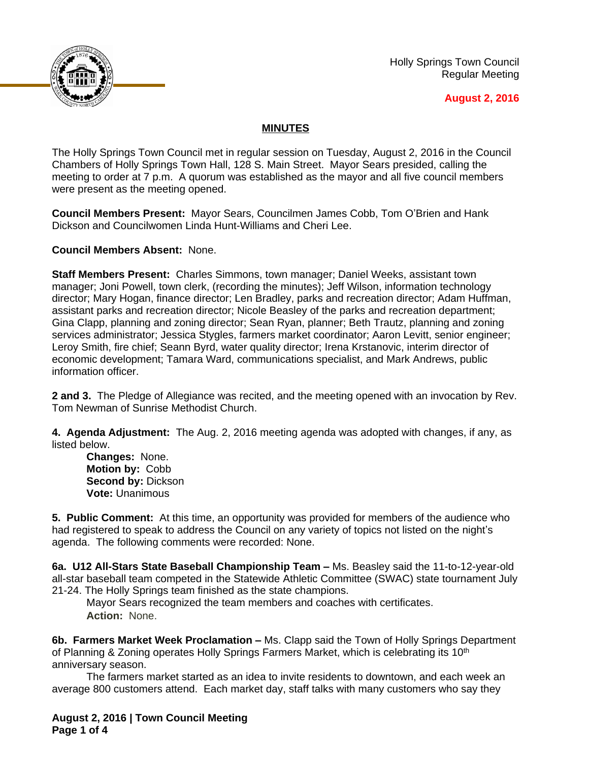

Holly Springs Town Council Regular Meeting

## **August 2, 2016**

## **MINUTES**

The Holly Springs Town Council met in regular session on Tuesday, August 2, 2016 in the Council Chambers of Holly Springs Town Hall, 128 S. Main Street. Mayor Sears presided, calling the meeting to order at 7 p.m. A quorum was established as the mayor and all five council members were present as the meeting opened.

**Council Members Present:** Mayor Sears, Councilmen James Cobb, Tom O'Brien and Hank Dickson and Councilwomen Linda Hunt-Williams and Cheri Lee.

**Council Members Absent:** None.

**Staff Members Present:** Charles Simmons, town manager; Daniel Weeks, assistant town manager; Joni Powell, town clerk, (recording the minutes); Jeff Wilson, information technology director; Mary Hogan, finance director; Len Bradley, parks and recreation director; Adam Huffman, assistant parks and recreation director; Nicole Beasley of the parks and recreation department; Gina Clapp, planning and zoning director; Sean Ryan, planner; Beth Trautz, planning and zoning services administrator; Jessica Stygles, farmers market coordinator; Aaron Levitt, senior engineer; Leroy Smith, fire chief; Seann Byrd, water quality director; Irena Krstanovic, interim director of economic development; Tamara Ward, communications specialist, and Mark Andrews, public information officer.

**2 and 3.** The Pledge of Allegiance was recited, and the meeting opened with an invocation by Rev. Tom Newman of Sunrise Methodist Church.

**4. Agenda Adjustment:** The Aug. 2, 2016 meeting agenda was adopted with changes, if any, as listed below.

**Changes:** None. **Motion by:** Cobb **Second by:** Dickson **Vote:** Unanimous

**5. Public Comment:** At this time, an opportunity was provided for members of the audience who had registered to speak to address the Council on any variety of topics not listed on the night's agenda. The following comments were recorded: None.

**6a. U12 All-Stars State Baseball Championship Team –** Ms. Beasley said the 11-to-12-year-old all-star baseball team competed in the Statewide Athletic Committee (SWAC) state tournament July 21-24. The Holly Springs team finished as the state champions.

Mayor Sears recognized the team members and coaches with certificates. **Action:** None.

**6b. Farmers Market Week Proclamation –** Ms. Clapp said the Town of Holly Springs Department of Planning & Zoning operates Holly Springs Farmers Market, which is celebrating its 10th anniversary season.

The farmers market started as an idea to invite residents to downtown, and each week an average 800 customers attend. Each market day, staff talks with many customers who say they

**August 2, 2016 | Town Council Meeting Page 1 of 4**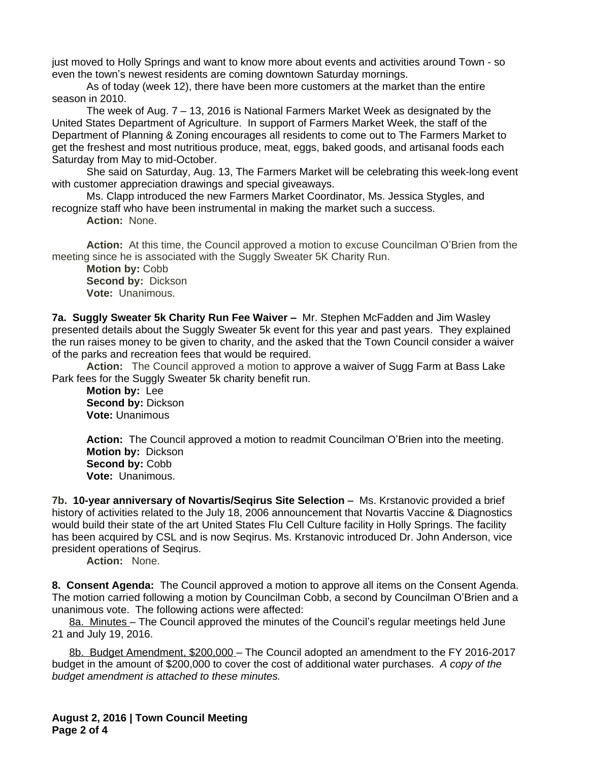just moved to Holly Springs and want to know more about events and activities around Town - so even the town's newest residents are coming downtown Saturday mornings.

As of today (week 12), there have been more customers at the market than the entire season in 2010.

The week of Aug. 7 – 13, 2016 is National Farmers Market Week as designated by the United States Department of Agriculture. In support of Farmers Market Week, the staff of the Department of Planning & Zoning encourages all residents to come out to The Farmers Market to get the freshest and most nutritious produce, meat, eggs, baked goods, and artisanal foods each Saturday from May to mid-October.

She said on Saturday, Aug. 13, The Farmers Market will be celebrating this week-long event with customer appreciation drawings and special giveaways.

Ms. Clapp introduced the new Farmers Market Coordinator, Ms. Jessica Stygles, and recognize staff who have been instrumental in making the market such a success.

**Action:** None.

**Action:** At this time, the Council approved a motion to excuse Councilman O'Brien from the meeting since he is associated with the Suggly Sweater 5K Charity Run.

**Motion by:** Cobb **Second by:** Dickson **Vote:** Unanimous.

**7a. Suggly Sweater 5k Charity Run Fee Waiver - Mr. Stephen McFadden and Jim Wasley** presented details about the Suggly Sweater 5k event for this year and past years. They explained the run raises money to be given to charity, and the asked that the Town Council consider a waiver of the parks and recreation fees that would be required.

**Action:** The Council approved a motion to approve a waiver of Sugg Farm at Bass Lake Park fees for the Suggly Sweater 5k charity benefit run.

**Motion by:** Lee **Second by:** Dickson **Vote:** Unanimous

**Action:** The Council approved a motion to readmit Councilman O'Brien into the meeting. **Motion by:** Dickson **Second by:** Cobb **Vote:** Unanimous.

**7b. 10-year anniversary of Novartis/Seqirus Site Selection –** Ms. Krstanovic provided a brief history of activities related to the July 18, 2006 announcement that Novartis Vaccine & Diagnostics would build their state of the art United States Flu Cell Culture facility in Holly Springs. The facility has been acquired by CSL and is now Seqirus. Ms. Krstanovic introduced Dr. John Anderson, vice president operations of Seqirus.

**Action:** None.

**8. Consent Agenda:** The Council approved a motion to approve all items on the Consent Agenda. The motion carried following a motion by Councilman Cobb, a second by Councilman O'Brien and a unanimous vote. The following actions were affected:

8a. Minutes – The Council approved the minutes of the Council's regular meetings held June 21 and July 19, 2016.

8b. Budget Amendment, \$200,000 – The Council adopted an amendment to the FY 2016-2017 budget in the amount of \$200,000 to cover the cost of additional water purchases.*A copy of the budget amendment is attached to these minutes.*

**August 2, 2016 | Town Council Meeting Page 2 of 4**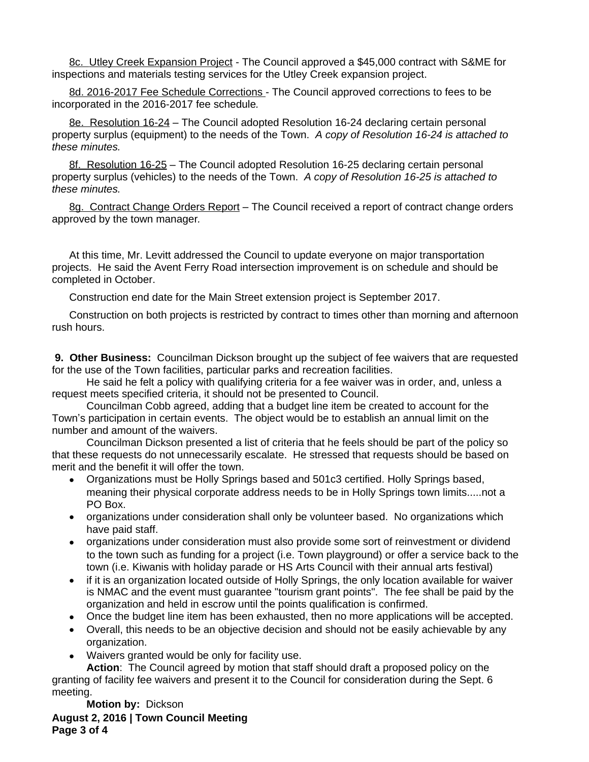8c. Utley Creek Expansion Project - The Council approved a \$45,000 contract with S&ME for inspections and materials testing services for the Utley Creek expansion project.

8d. 2016-2017 Fee Schedule Corrections - The Council approved corrections to fees to be incorporated in the 2016-2017 fee schedule*.*

8e. Resolution 16-24 – The Council adopted Resolution 16-24 declaring certain personal property surplus (equipment) to the needs of the Town. *A copy of Resolution 16-24 is attached to these minutes.* 

8f. Resolution 16-25 – The Council adopted Resolution 16-25 declaring certain personal property surplus (vehicles) to the needs of the Town.*A copy of Resolution 16-25 is attached to these minutes.* 

8g. Contract Change Orders Report – The Council received a report of contract change orders approved by the town manager*.*

At this time, Mr. Levitt addressed the Council to update everyone on major transportation projects. He said the Avent Ferry Road intersection improvement is on schedule and should be completed in October.

Construction end date for the Main Street extension project is September 2017.

Construction on both projects is restricted by contract to times other than morning and afternoon rush hours.

 **9. Other Business:** Councilman Dickson brought up the subject of fee waivers that are requested for the use of the Town facilities, particular parks and recreation facilities.

He said he felt a policy with qualifying criteria for a fee waiver was in order, and, unless a request meets specified criteria, it should not be presented to Council.

Councilman Cobb agreed, adding that a budget line item be created to account for the Town's participation in certain events. The object would be to establish an annual limit on the number and amount of the waivers.

Councilman Dickson presented a list of criteria that he feels should be part of the policy so that these requests do not unnecessarily escalate. He stressed that requests should be based on merit and the benefit it will offer the town.

- Organizations must be Holly Springs based and 501c3 certified. Holly Springs based, meaning their physical corporate address needs to be in Holly Springs town limits.....not a PO Box.
- organizations under consideration shall only be volunteer based. No organizations which have paid staff.
- organizations under consideration must also provide some sort of reinvestment or dividend to the town such as funding for a project (i.e. Town playground) or offer a service back to the town (i.e. Kiwanis with holiday parade or HS Arts Council with their annual arts festival)
- if it is an organization located outside of Holly Springs, the only location available for waiver is NMAC and the event must guarantee "tourism grant points". The fee shall be paid by the organization and held in escrow until the points qualification is confirmed.
- Once the budget line item has been exhausted, then no more applications will be accepted.
- Overall, this needs to be an objective decision and should not be easily achievable by any organization.
- Waivers granted would be only for facility use.

**Action**: The Council agreed by motion that staff should draft a proposed policy on the granting of facility fee waivers and present it to the Council for consideration during the Sept. 6 meeting.

**August 2, 2016 | Town Council Meeting Page 3 of 4 Motion by:** Dickson